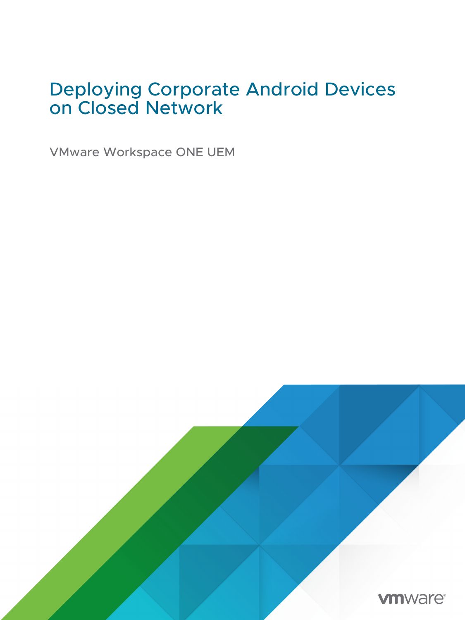# Deploying Corporate Android Devices on Closed Network

VMware Workspace ONE UEM

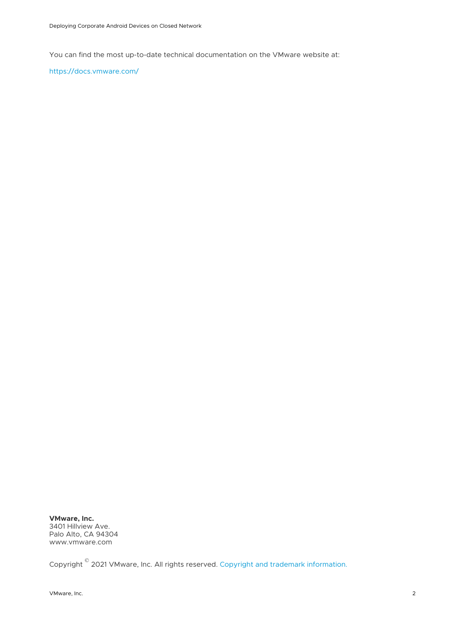You can find the most up-to-date technical documentation on the VMware website at:

<https://docs.vmware.com/>

**VMware, Inc.** 3401 Hillview Ave. Palo Alto, CA 94304 www.vmware.com

Copyright  $^\copyright$  2021 VMware, Inc. All rights reserved. [Copyright and trademark information.](http://pubs.vmware.com/copyright-trademark.html)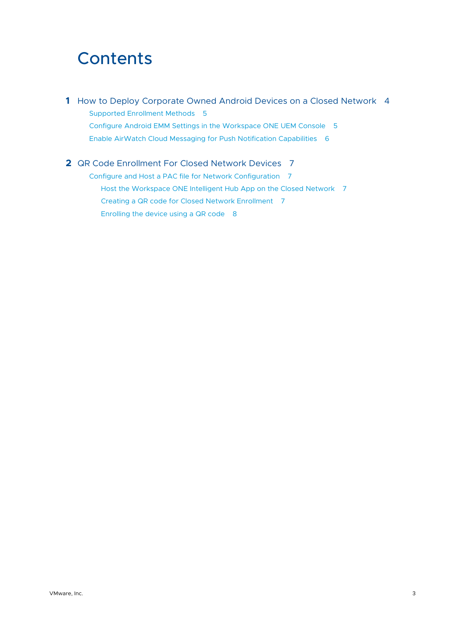# **Contents**

**1** [How to Deploy Corporate Owned Android Devices on a Closed Network 4](#page-3-0) [Supported Enrollment Methods 5](#page-4-0) [Configure Android EMM Settings in the Workspace ONE UEM Console 5](#page-4-0) [Enable AirWatch Cloud Messaging for Push Notification Capabilities 6](#page-5-0)

**2** [QR Code Enrollment For Closed Network Devices 7](#page-6-0) [Configure and Host a PAC file for Network Configuration 7](#page-6-0) [Host the Workspace ONE Intelligent Hub App on the Closed Network 7](#page-6-0) [Creating a QR code for Closed Network Enrollment 7](#page-6-0) [Enrolling the device using a QR code 8](#page-7-0)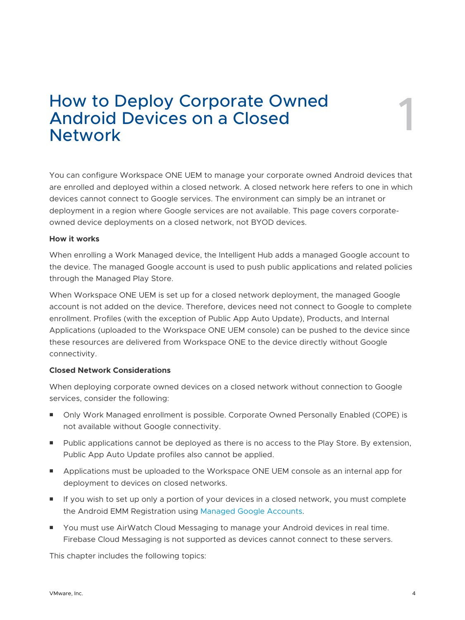# <span id="page-3-0"></span>How to Deploy Corporate Owned Network 1 Android Devices on a Closed

You can configure Workspace ONE UEM to manage your corporate owned Android devices that are enrolled and deployed within a closed network. A closed network here refers to one in which devices cannot connect to Google services. The environment can simply be an intranet or deployment in a region where Google services are not available. This page covers corporateowned device deployments on a closed network, not BYOD devices.

#### **How it works**

When enrolling a Work Managed device, the Intelligent Hub adds a managed Google account to the device. The managed Google account is used to push public applications and related policies through the Managed Play Store.

When Workspace ONE UEM is set up for a closed network deployment, the managed Google account is not added on the device. Therefore, devices need not connect to Google to complete enrollment. Profiles (with the exception of Public App Auto Update), Products, and Internal Applications (uploaded to the Workspace ONE UEM console) can be pushed to the device since these resources are delivered from Workspace ONE to the device directly without Google connectivity.

#### **Closed Network Considerations**

When deploying corporate owned devices on a closed network without connection to Google services, consider the following:

- Only Work Managed enrollment is possible. Corporate Owned Personally Enabled (COPE) is not available without Google connectivity.
- **Public applications cannot be deployed as there is no access to the Play Store. By extension,** Public App Auto Update profiles also cannot be applied.
- **n** Applications must be uploaded to the Workspace ONE UEM console as an internal app for deployment to devices on closed networks.
- **n** If you wish to set up only a portion of your devices in a closed network, you must complete the Android EMM Registration using [Managed Google Accounts](https://docs.vmware.com/en/VMware-Workspace-ONE-UEM/services/Android_Platform/GUID-AWT-SETUP-AFW-ACCOUNT.html).
- You must use AirWatch Cloud Messaging to manage your Android devices in real time. Firebase Cloud Messaging is not supported as devices cannot connect to these servers.

This chapter includes the following topics: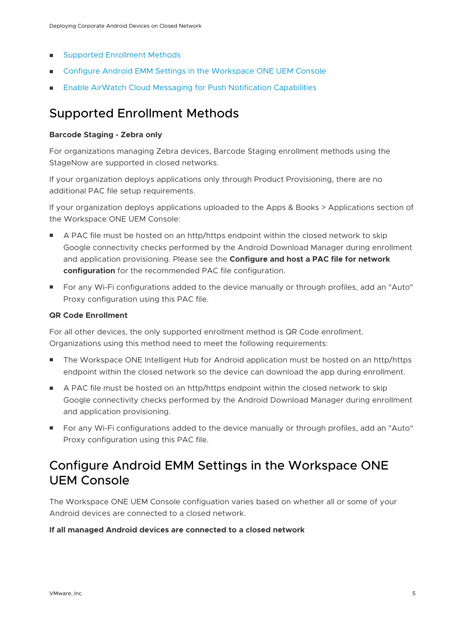- <span id="page-4-0"></span>**n** Supported Enrollment Methods
- **n** Configure Android EMM Settings in the Workspace ONE UEM Console
- [Enable AirWatch Cloud Messaging for Push Notification Capabilities](#page-5-0)

# Supported Enrollment Methods

#### **Barcode Staging - Zebra only**

For organizations managing Zebra devices, Barcode Staging enrollment methods using the StageNow are supported in closed networks.

If your organization deploys applications only through Product Provisioning, there are no additional PAC file setup requirements.

If your organization deploys applications uploaded to the Apps & Books > Applications section of the Workspace ONE UEM Console:

- A PAC file must be hosted on an http/https endpoint within the closed network to skip Google connectivity checks performed by the Android Download Manager during enrollment and application provisioning. Please see the **Configure and host a PAC file for network configuration** for the recommended PAC file configuration.
- **For any Wi-Fi configurations added to the device manually or through profiles, add an "Auto"** Proxy configuration using this PAC file.

#### **QR Code Enrollment**

For all other devices, the only supported enrollment method is QR Code enrollment. Organizations using this method need to meet the following requirements:

- The Workspace ONE Intelligent Hub for Android application must be hosted on an http/https endpoint within the closed network so the device can download the app during enrollment.
- A PAC file must be hosted on an http/https endpoint within the closed network to skip Google connectivity checks performed by the Android Download Manager during enrollment and application provisioning.
- **For any Wi-Fi configurations added to the device manually or through profiles, add an "Auto"** Proxy configuration using this PAC file.

# Configure Android EMM Settings in the Workspace ONE UEM Console

The Workspace ONE UEM Console configuation varies based on whether all or some of your Android devices are connected to a closed network.

#### **If all managed Android devices are connected to a closed network**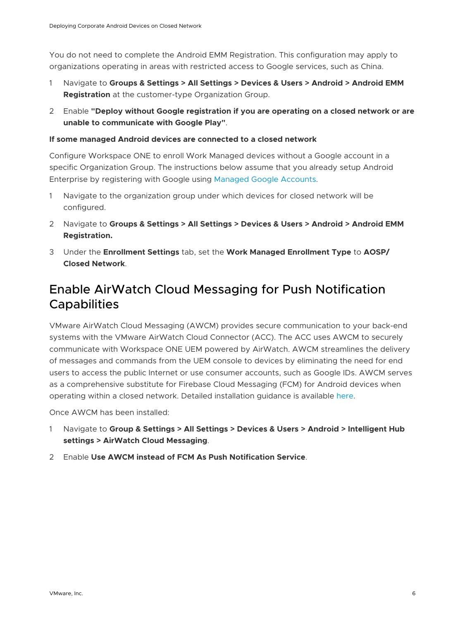<span id="page-5-0"></span>You do not need to complete the Android EMM Registration. This configuration may apply to organizations operating in areas with restricted access to Google services, such as China.

- 1 Navigate to **Groups & Settings > All Settings > Devices & Users > Android > Android EMM Registration** at the customer-type Organization Group.
- 2 Enable **"Deploy without Google registration if you are operating on a closed network or are unable to communicate with Google Play"**.

#### **If some managed Android devices are connected to a closed network**

Configure Workspace ONE to enroll Work Managed devices without a Google account in a specific Organization Group. The instructions below assume that you already setup Android Enterprise by registering with Google using [Managed Google Accounts.](https://docs.vmware.com/en/VMware-Workspace-ONE-UEM/services/Android_Platform/GUID-AWT-SETUP-AFW-ACCOUNT.html)

- 1 Navigate to the organization group under which devices for closed network will be configured.
- 2 Navigate to **Groups & Settings > All Settings > Devices & Users > Android > Android EMM Registration.**
- 3 Under the **Enrollment Settings** tab, set the **Work Managed Enrollment Type** to **AOSP/ Closed Network**.

## Enable AirWatch Cloud Messaging for Push Notification **Capabilities**

VMware AirWatch Cloud Messaging (AWCM) provides secure communication to your back-end systems with the VMware AirWatch Cloud Connector (ACC). The ACC uses AWCM to securely communicate with Workspace ONE UEM powered by AirWatch. AWCM streamlines the delivery of messages and commands from the UEM console to devices by eliminating the need for end users to access the public Internet or use consumer accounts, such as Google IDs. AWCM serves as a comprehensive substitute for Firebase Cloud Messaging (FCM) for Android devices when operating within a closed network. Detailed installation guidance is available [here.](https://docs.vmware.com/en/VMware-Workspace-ONE-UEM/2005/AirWatch_Cloud_Messaging/GUID-AWT-AWCM-INTRODUCTION.html)

Once AWCM has been installed:

- 1 Navigate to **Group & Settings > All Settings > Devices & Users > Android > Intelligent Hub settings > AirWatch Cloud Messaging**.
- 2 Enable **Use AWCM instead of FCM As Push Notification Service**.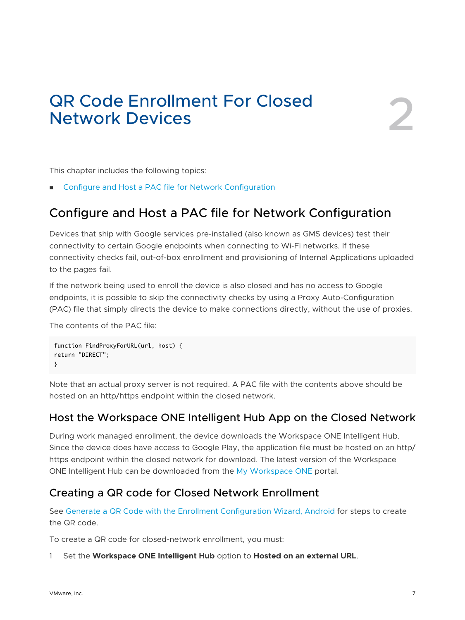# <span id="page-6-0"></span>QR Code Enrollment For Closed Network Devices 2

This chapter includes the following topics:

■ Configure and Host a PAC file for Network Configuration

### Configure and Host a PAC file for Network Configuration

Devices that ship with Google services pre-installed (also known as GMS devices) test their connectivity to certain Google endpoints when connecting to Wi-Fi networks. If these connectivity checks fail, out-of-box enrollment and provisioning of Internal Applications uploaded to the pages fail.

If the network being used to enroll the device is also closed and has no access to Google endpoints, it is possible to skip the connectivity checks by using a Proxy Auto-Configuration (PAC) file that simply directs the device to make connections directly, without the use of proxies.

The contents of the PAC file:

```
function FindProxyForURL(url, host) {
return "DIRECT";
}
```
Note that an actual proxy server is not required. A PAC file with the contents above should be hosted on an http/https endpoint within the closed network.

#### Host the Workspace ONE Intelligent Hub App on the Closed Network

During work managed enrollment, the device downloads the Workspace ONE Intelligent Hub. Since the device does have access to Google Play, the application file must be hosted on an http/ https endpoint within the closed network for download. The latest version of the Workspace ONE Intelligent Hub can be downloaded from the [My Workspace ONE](https://my.workspaceone.com/products/Workspace-ONE-Intelligent-Hub) portal.

#### Creating a QR code for Closed Network Enrollment

See [Generate a QR Code with the Enrollment Configuration Wizard, Android](https://docs.vmware.com/en/VMware-Workspace-ONE-UEM/2008/ProdProv_All/GUID-F1274AF3-1D9A-4579-A2D9-201755A43AAC.html) for steps to create the QR code.

To create a QR code for closed-network enrollment, you must:

#### 1 Set the **Workspace ONE Intelligent Hub** option to **Hosted on an external URL**.